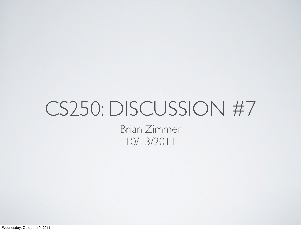#### CS250: DISCUSSION #7 Brian Zimmer 10/13/2011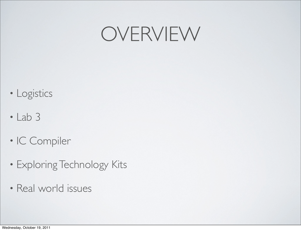#### OVERVIEW

- Logistics
- Lab 3
- IC Compiler
- Exploring Technology Kits
- Real world issues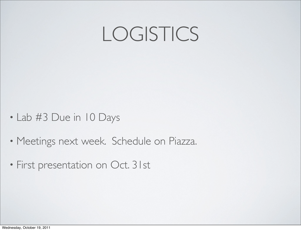### LOGISTICS

- Lab #3 Due in 10 Days
- Meetings next week. Schedule on Piazza.
- First presentation on Oct. 31st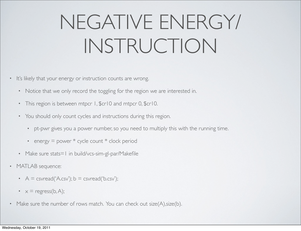# NEGATIVE ENERGY/ INSTRUCTION

- It's likely that your energy or instruction counts are wrong.
	- Notice that we only record the toggling for the region we are interested in.
	- This region is between mtpcr 1, \$cr10 and mtpcr 0, \$cr10.
	- You should only count cycles and instructions during this region.
		- pt-pwr gives you a power number, so you need to multiply this with the running time.
		- energy = power \* cycle count \* clock period
	- Make sure stats=1 in build/vcs-sim-gl-par/Makefile
- MATLAB sequence:
	- $A = c$ svread('A.csv');  $b = c$ svread('b.csv');
	- $x = \text{regress}(b, A);$
- Make sure the number of rows match. You can check out size(A), size(b).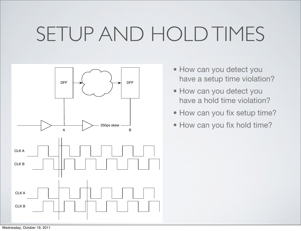### SETUP AND HOLD TIMES



- How can you detect you have a setup time violation?
- How can you detect you have a hold time violation?
- How can you fix setup time?
- How can you fix hold time?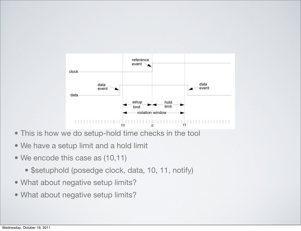

- This is how we do setup-hold time checks in the tool
- We have a setup limit and a hold limit
- We encode this case as (10,11)
	- \$setuphold (posedge clock, data, 10, 11, notify)
- What about negative setup limits?
- What about negative setup limits?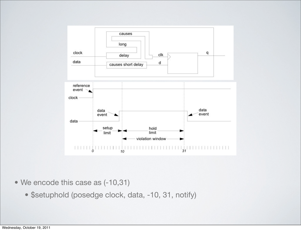

- We encode this case as (-10,31)
	- \$setuphold (posedge clock, data, -10, 31, notify)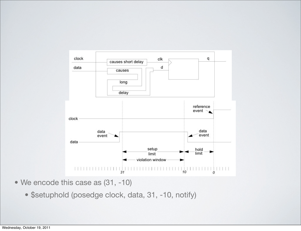

- We encode this case as (31, -10)
	- \$setuphold (posedge clock, data, 31, -10, notify)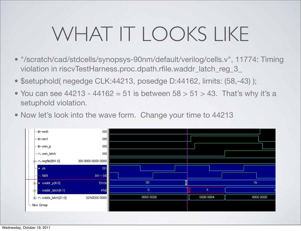# WHAT IT LOOKS LIKE

- "/scratch/cad/stdcells/synopsys-90nm/default/verilog/cells.v", 11774: Timing violation in riscvTestHarness.proc.dpath.rfile.waddr\_latch\_reg\_3\_
- \$setuphold( negedge CLK:44213, posedge D:44162, limits: (58,-43) );
- You can see  $44213 44162 = 51$  is between  $58 > 51 > 43$ . That's why it's a setuphold violation.
- Now let's look into the wave form. Change your time to 44213

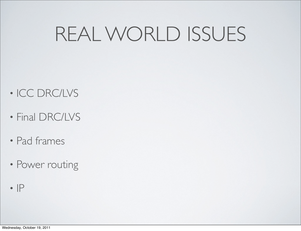### REAL WORLD ISSUES

- ICC DRC/LVS
- Final DRC/LVS
- Pad frames
- Power routing
- $\cdot$  IP